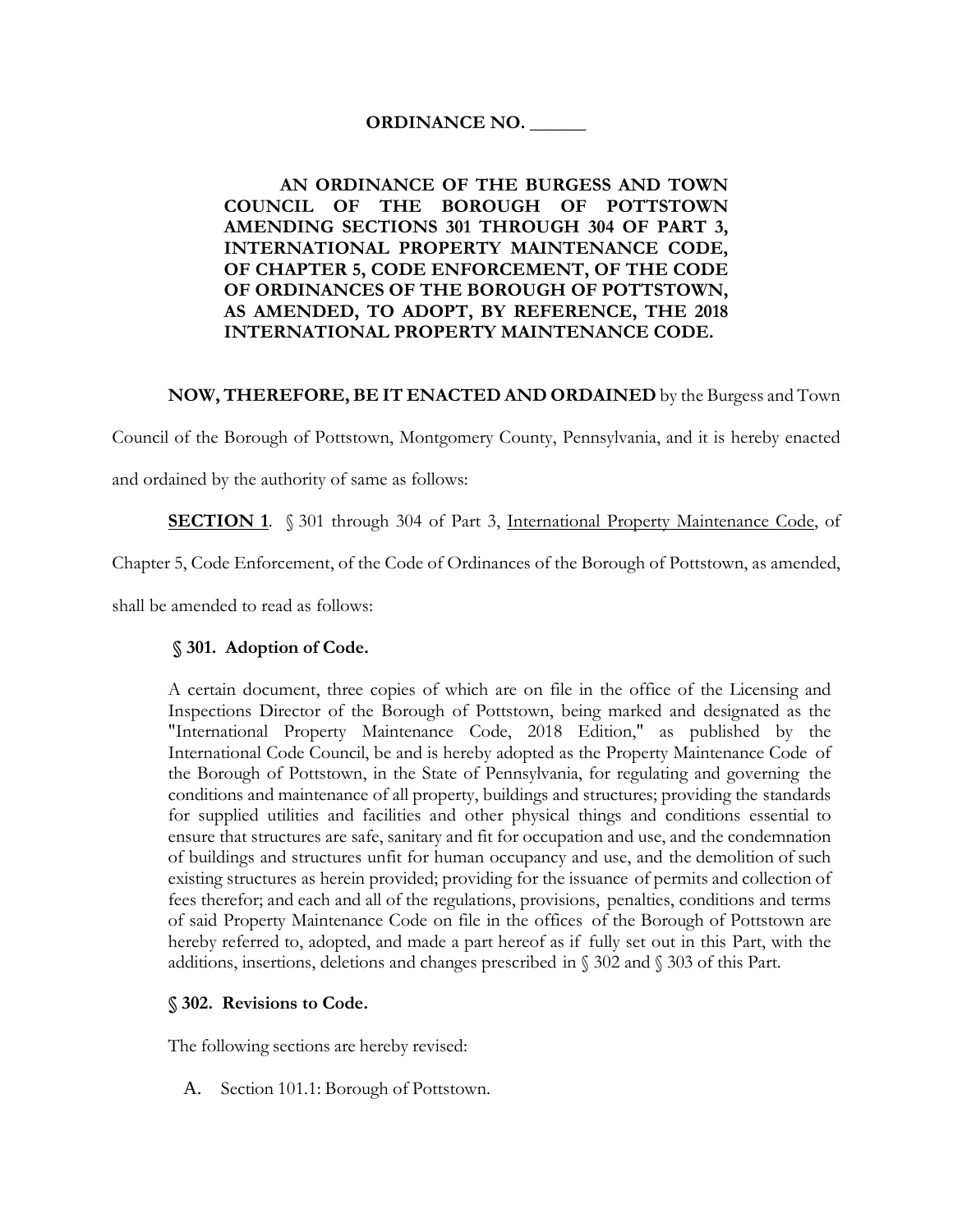## **ORDINANCE NO. \_\_\_\_\_\_**

## **AN ORDINANCE OF THE BURGESS AND TOWN COUNCIL OF THE BOROUGH OF POTTSTOWN AMENDING SECTIONS 301 THROUGH 304 OF PART 3, INTERNATIONAL PROPERTY MAINTENANCE CODE, OF CHAPTER 5, CODE ENFORCEMENT, OF THE CODE OF ORDINANCES OF THE BOROUGH OF POTTSTOWN, AS AMENDED, TO ADOPT, BY REFERENCE, THE 2018 INTERNATIONAL PROPERTY MAINTENANCE CODE.**

### **NOW, THEREFORE, BE IT ENACTED AND ORDAINED** by the Burgess and Town

Council of the Borough of Pottstown, Montgomery County, Pennsylvania, and it is hereby enacted

and ordained by the authority of same as follows:

**SECTION 1.** § 301 through 304 of Part 3, International Property Maintenance Code, of

Chapter 5, Code Enforcement, of the Code of Ordinances of the Borough of Pottstown, as amended,

shall be amended to read as follows:

## **§ 301. Adoption of Code.**

A certain document, three copies of which are on file in the office of the Licensing and Inspections Director of the Borough of Pottstown, being marked and designated as the "International Property Maintenance Code, 2018 Edition," as published by the International Code Council, be and is hereby adopted as the Property Maintenance Code of the Borough of Pottstown, in the State of Pennsylvania, for regulating and governing the conditions and maintenance of all property, buildings and structures; providing the standards for supplied utilities and facilities and other physical things and conditions essential to ensure that structures are safe, sanitary and fit for occupation and use, and the condemnation of buildings and structures unfit for human occupancy and use, and the demolition of such existing structures as herein provided; providing for the issuance of permits and collection of fees therefor; and each and all of the regulations, provisions, penalties, conditions and terms of said Property Maintenance Code on file in the offices of the Borough of Pottstown are hereby referred to, adopted, and made a part hereof as if fully set out in this Part, with the additions, insertions, deletions and changes prescribed in § 302 and § 303 of this Part.

#### **§ 302. Revisions to Code.**

The following sections are hereby revised:

A. Section 101.1: Borough of Pottstown.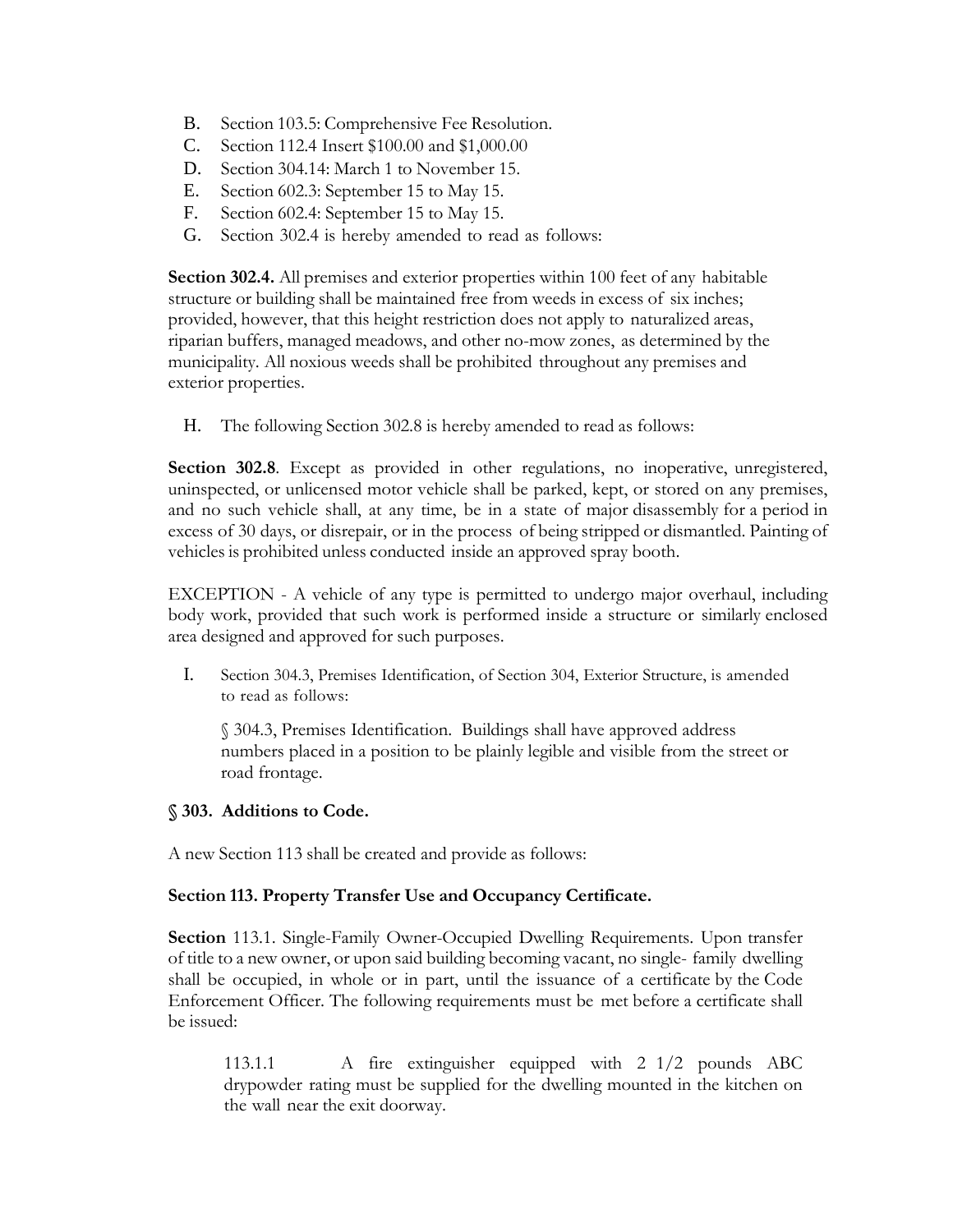- B. Section 103.5: Comprehensive Fee Resolution.
- C. Section 112.4 Insert \$100.00 and \$1,000.00
- D. Section 304.14: March 1 to November 15.
- E. Section 602.3: September 15 to May 15.
- F. Section 602.4: September 15 to May 15.
- G. Section 302.4 is hereby amended to read as follows:

**Section 302.4.** All premises and exterior properties within 100 feet of any habitable structure or building shall be maintained free from weeds in excess of six inches; provided, however, that this height restriction does not apply to naturalized areas, riparian buffers, managed meadows, and other no-mow zones, as determined by the municipality. All noxious weeds shall be prohibited throughout any premises and exterior properties.

H. The following Section 302.8 is hereby amended to read as follows:

**Section 302.8**. Except as provided in other regulations, no inoperative, unregistered, uninspected, or unlicensed motor vehicle shall be parked, kept, or stored on any premises, and no such vehicle shall, at any time, be in a state of major disassembly for a period in excess of 30 days, or disrepair, or in the process of being stripped or dismantled. Painting of vehicles is prohibited unless conducted inside an approved spray booth.

EXCEPTION - A vehicle of any type is permitted to undergo major overhaul, including body work, provided that such work is performed inside a structure or similarly enclosed area designed and approved for such purposes.

I. Section 304.3, Premises Identification, of Section 304, Exterior Structure, is amended to read as follows:

§ 304.3, Premises Identification. Buildings shall have approved address numbers placed in a position to be plainly legible and visible from the street or road frontage.

# **§ 303. Additions to Code.**

A new Section 113 shall be created and provide as follows:

# **Section 113. Property Transfer Use and Occupancy Certificate.**

**Section** 113.1. Single-Family Owner-Occupied Dwelling Requirements. Upon transfer of title to a new owner, or upon said building becoming vacant, no single- family dwelling shall be occupied, in whole or in part, until the issuance of a certificate by the Code Enforcement Officer. The following requirements must be met before a certificate shall be issued:

113.1.1 A fire extinguisher equipped with 2 1/2 pounds ABC drypowder rating must be supplied for the dwelling mounted in the kitchen on the wall near the exit doorway.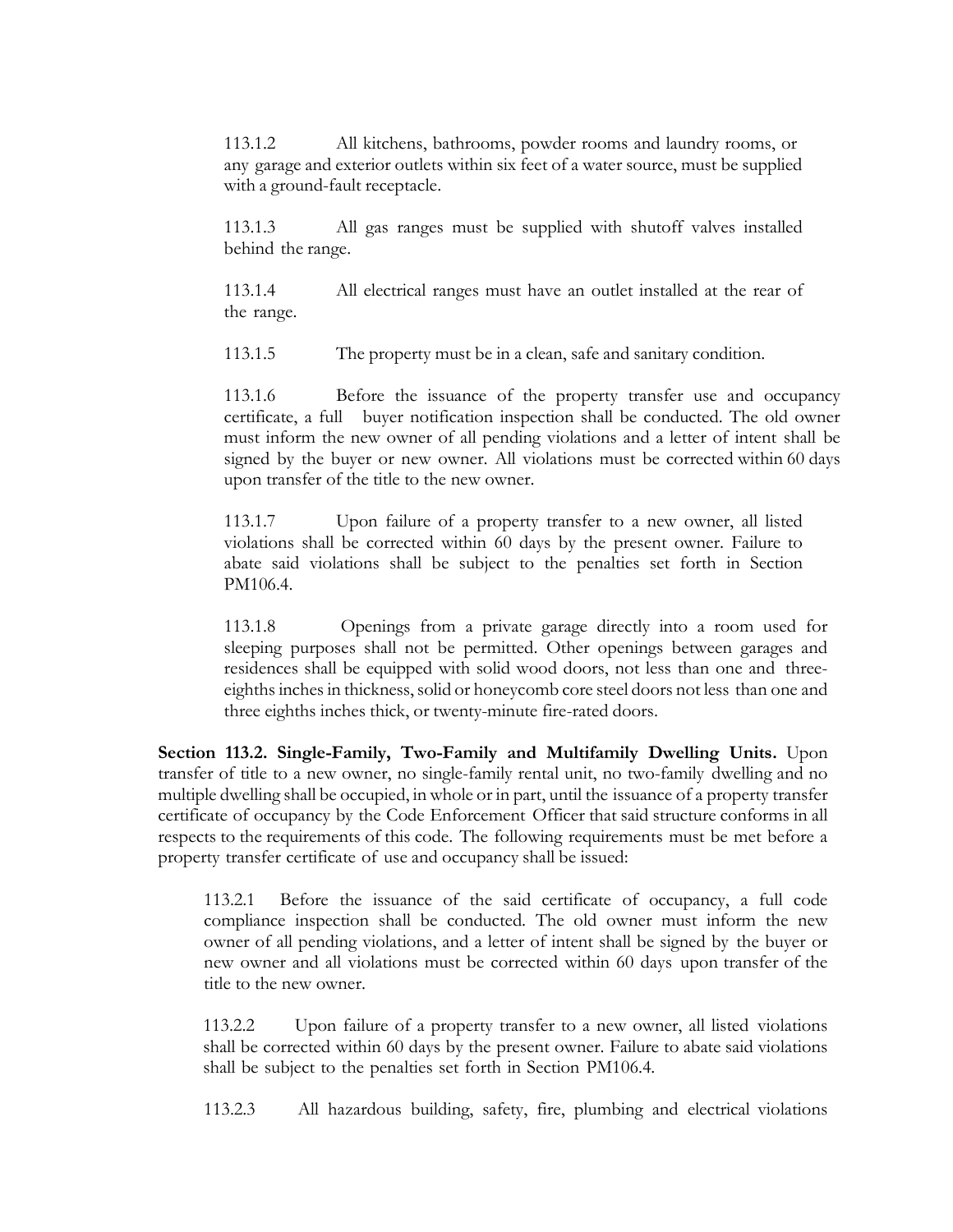113.1.2 All kitchens, bathrooms, powder rooms and laundry rooms, or any garage and exterior outlets within six feet of a water source, must be supplied with a ground-fault receptacle.

113.1.3 All gas ranges must be supplied with shutoff valves installed behind the range.

113.1.4 All electrical ranges must have an outlet installed at the rear of the range.

113.1.5 The property must be in a clean, safe and sanitary condition.

113.1.6 Before the issuance of the property transfer use and occupancy certificate, a full buyer notification inspection shall be conducted. The old owner must inform the new owner of all pending violations and a letter of intent shall be signed by the buyer or new owner. All violations must be corrected within 60 days upon transfer of the title to the new owner.

113.1.7 Upon failure of a property transfer to a new owner, all listed violations shall be corrected within 60 days by the present owner. Failure to abate said violations shall be subject to the penalties set forth in Section PM106.4.

113.1.8 Openings from a private garage directly into a room used for sleeping purposes shall not be permitted. Other openings between garages and residences shall be equipped with solid wood doors, not less than one and threeeighths inches in thickness, solid or honeycomb core steel doors not less than one and three eighths inches thick, or twenty-minute fire-rated doors.

**Section 113.2. Single-Family, Two-Family and Multifamily Dwelling Units.** Upon transfer of title to a new owner, no single-family rental unit, no two-family dwelling and no multiple dwelling shall be occupied, in whole or in part, until the issuance of a property transfer certificate of occupancy by the Code Enforcement Officer that said structure conforms in all respects to the requirements of this code. The following requirements must be met before a property transfer certificate of use and occupancy shall be issued:

113.2.1 Before the issuance of the said certificate of occupancy, a full code compliance inspection shall be conducted. The old owner must inform the new owner of all pending violations, and a letter of intent shall be signed by the buyer or new owner and all violations must be corrected within 60 days upon transfer of the title to the new owner.

113.2.2 Upon failure of a property transfer to a new owner, all listed violations shall be corrected within 60 days by the present owner. Failure to abate said violations shall be subject to the penalties set forth in Section PM106.4.

113.2.3 All hazardous building, safety, fire, plumbing and electrical violations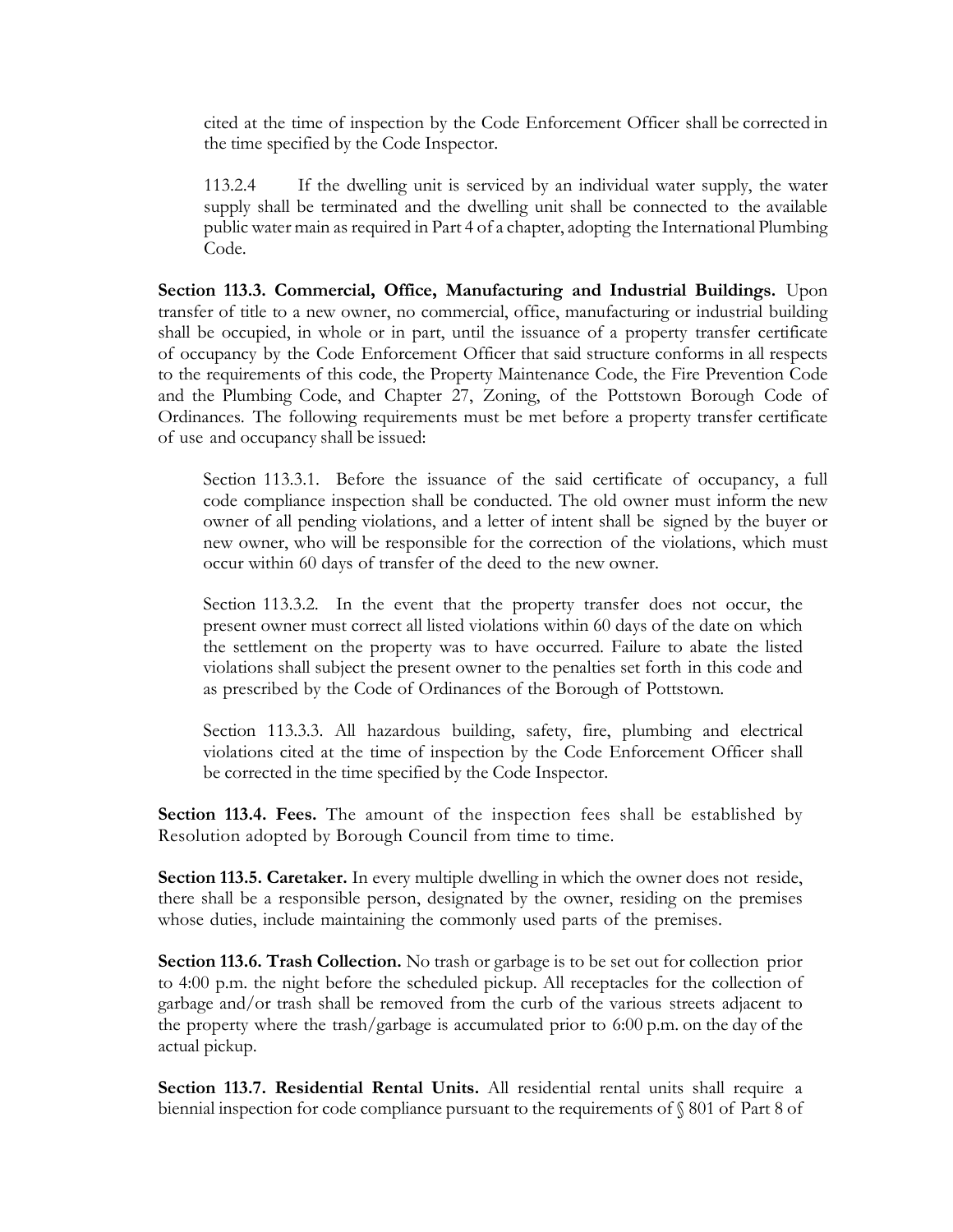cited at the time of inspection by the Code Enforcement Officer shall be corrected in the time specified by the Code Inspector.

113.2.4 If the dwelling unit is serviced by an individual water supply, the water supply shall be terminated and the dwelling unit shall be connected to the available public water main as required in Part 4 of a chapter, adopting the International Plumbing Code.

**Section 113.3. Commercial, Office, Manufacturing and Industrial Buildings.** Upon transfer of title to a new owner, no commercial, office, manufacturing or industrial building shall be occupied, in whole or in part, until the issuance of a property transfer certificate of occupancy by the Code Enforcement Officer that said structure conforms in all respects to the requirements of this code, the Property Maintenance Code, the Fire Prevention Code and the Plumbing Code, and Chapter 27, Zoning, of the Pottstown Borough Code of Ordinances. The following requirements must be met before a property transfer certificate of use and occupancy shall be issued:

Section 113.3.1. Before the issuance of the said certificate of occupancy, a full code compliance inspection shall be conducted. The old owner must inform the new owner of all pending violations, and a letter of intent shall be signed by the buyer or new owner, who will be responsible for the correction of the violations, which must occur within 60 days of transfer of the deed to the new owner.

Section 113.3.2. In the event that the property transfer does not occur, the present owner must correct all listed violations within 60 days of the date on which the settlement on the property was to have occurred. Failure to abate the listed violations shall subject the present owner to the penalties set forth in this code and as prescribed by the Code of Ordinances of the Borough of Pottstown.

Section 113.3.3. All hazardous building, safety, fire, plumbing and electrical violations cited at the time of inspection by the Code Enforcement Officer shall be corrected in the time specified by the Code Inspector.

**Section 113.4. Fees.** The amount of the inspection fees shall be established by Resolution adopted by Borough Council from time to time.

**Section 113.5. Caretaker.** In every multiple dwelling in which the owner does not reside, there shall be a responsible person, designated by the owner, residing on the premises whose duties, include maintaining the commonly used parts of the premises.

**Section 113.6. Trash Collection.** No trash or garbage is to be set out for collection prior to 4:00 p.m. the night before the scheduled pickup. All receptacles for the collection of garbage and/or trash shall be removed from the curb of the various streets adjacent to the property where the trash/garbage is accumulated prior to 6:00 p.m. on the day of the actual pickup.

**Section 113.7. Residential Rental Units.** All residential rental units shall require a biennial inspection for code compliance pursuant to the requirements of § 801 of Part 8 of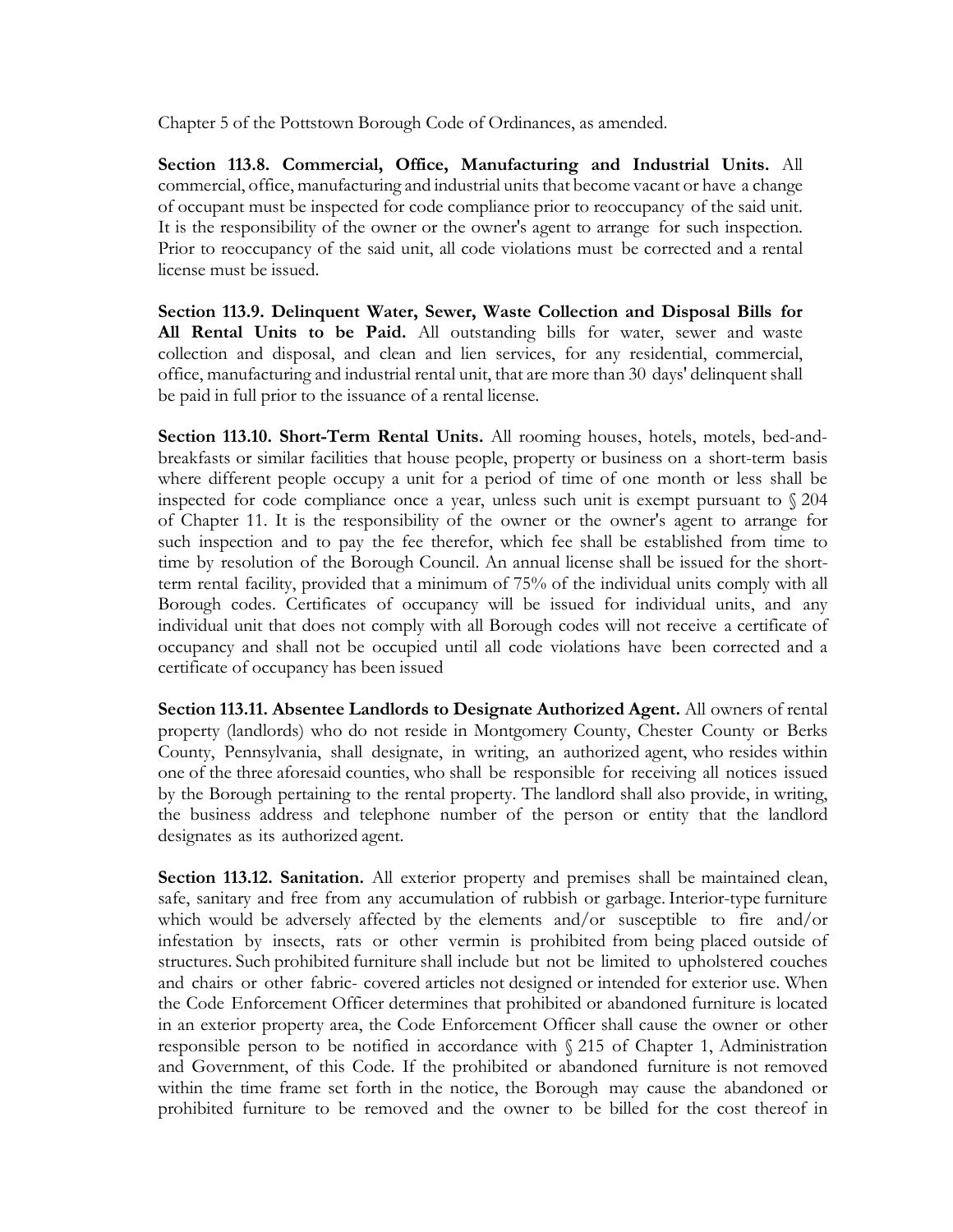Chapter 5 of the Pottstown Borough Code of Ordinances, as amended.

**Section 113.8. Commercial, Office, Manufacturing and Industrial Units.** All commercial, office, manufacturing and industrial units that become vacant or have a change of occupant must be inspected for code compliance prior to reoccupancy of the said unit. It is the responsibility of the owner or the owner's agent to arrange for such inspection. Prior to reoccupancy of the said unit, all code violations must be corrected and a rental license must be issued.

**Section 113.9. Delinquent Water, Sewer, Waste Collection and Disposal Bills for All Rental Units to be Paid.** All outstanding bills for water, sewer and waste collection and disposal, and clean and lien services, for any residential, commercial, office, manufacturing and industrial rental unit, that are more than 30 days' delinquent shall be paid in full prior to the issuance of a rental license.

**Section 113.10. Short-Term Rental Units.** All rooming houses, hotels, motels, bed-andbreakfasts or similar facilities that house people, property or business on a short-term basis where different people occupy a unit for a period of time of one month or less shall be inspected for code compliance once a year, unless such unit is exempt pursuant to § 204 of Chapter 11. It is the responsibility of the owner or the owner's agent to arrange for such inspection and to pay the fee therefor, which fee shall be established from time to time by resolution of the Borough Council. An annual license shall be issued for the shortterm rental facility, provided that a minimum of 75% of the individual units comply with all Borough codes. Certificates of occupancy will be issued for individual units, and any individual unit that does not comply with all Borough codes will not receive a certificate of occupancy and shall not be occupied until all code violations have been corrected and a certificate of occupancy has been issued

**Section 113.11. Absentee Landlords to Designate Authorized Agent.** All owners of rental property (landlords) who do not reside in Montgomery County, Chester County or Berks County, Pennsylvania, shall designate, in writing, an authorized agent, who resides within one of the three aforesaid counties, who shall be responsible for receiving all notices issued by the Borough pertaining to the rental property. The landlord shall also provide, in writing, the business address and telephone number of the person or entity that the landlord designates as its authorized agent.

**Section 113.12. Sanitation.** All exterior property and premises shall be maintained clean, safe, sanitary and free from any accumulation of rubbish or garbage.Interior-type furniture which would be adversely affected by the elements and/or susceptible to fire and/or infestation by insects, rats or other vermin is prohibited from being placed outside of structures. Such prohibited furniture shall include but not be limited to upholstered couches and chairs or other fabric- covered articles not designed or intended for exterior use. When the Code Enforcement Officer determines that prohibited or abandoned furniture is located in an exterior property area, the Code Enforcement Officer shall cause the owner or other responsible person to be notified in accordance with § 215 of Chapter 1, Administration and Government, of this Code. If the prohibited or abandoned furniture is not removed within the time frame set forth in the notice, the Borough may cause the abandoned or prohibited furniture to be removed and the owner to be billed for the cost thereof in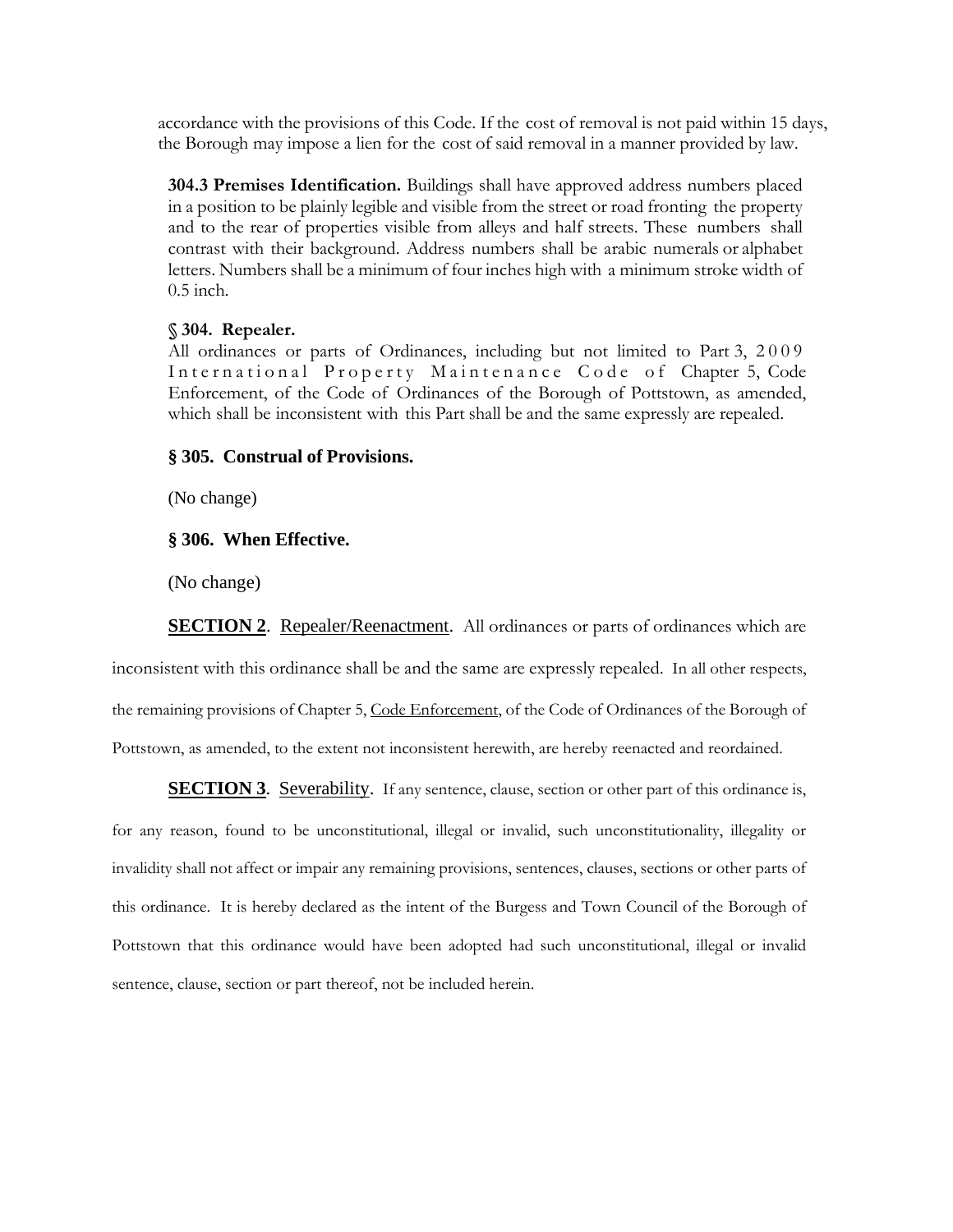accordance with the provisions of this Code. If the cost of removal is not paid within 15 days, the Borough may impose a lien for the cost of said removal in a manner provided by law.

**304.3 Premises Identification.** Buildings shall have approved address numbers placed in a position to be plainly legible and visible from the street or road fronting the property and to the rear of properties visible from alleys and half streets. These numbers shall contrast with their background. Address numbers shall be arabic numerals or alphabet letters. Numbers shall be a minimum of four inches high with a minimum stroke width of 0.5 inch.

#### **§ 304. Repealer.**

All ordinances or parts of Ordinances, including but not limited to Part 3, 2009 International Property Maintenance Code of Chapter 5, Code Enforcement, of the Code of Ordinances of the Borough of Pottstown, as amended, which shall be inconsistent with this Part shall be and the same expressly are repealed.

## **§ 305. Construal of Provisions.**

(No change)

### **§ 306. When Effective.**

(No change)

**SECTION 2.** Repealer/Reenactment. All ordinances or parts of ordinances which are

inconsistent with this ordinance shall be and the same are expressly repealed. In all other respects, the remaining provisions of Chapter 5, Code Enforcement, of the Code of Ordinances of the Borough of Pottstown, as amended, to the extent not inconsistent herewith, are hereby reenacted and reordained.

**SECTION 3**. Severability. If any sentence, clause, section or other part of this ordinance is,

for any reason, found to be unconstitutional, illegal or invalid, such unconstitutionality, illegality or invalidity shall not affect or impair any remaining provisions, sentences, clauses, sections or other parts of this ordinance. It is hereby declared as the intent of the Burgess and Town Council of the Borough of Pottstown that this ordinance would have been adopted had such unconstitutional, illegal or invalid sentence, clause, section or part thereof, not be included herein.